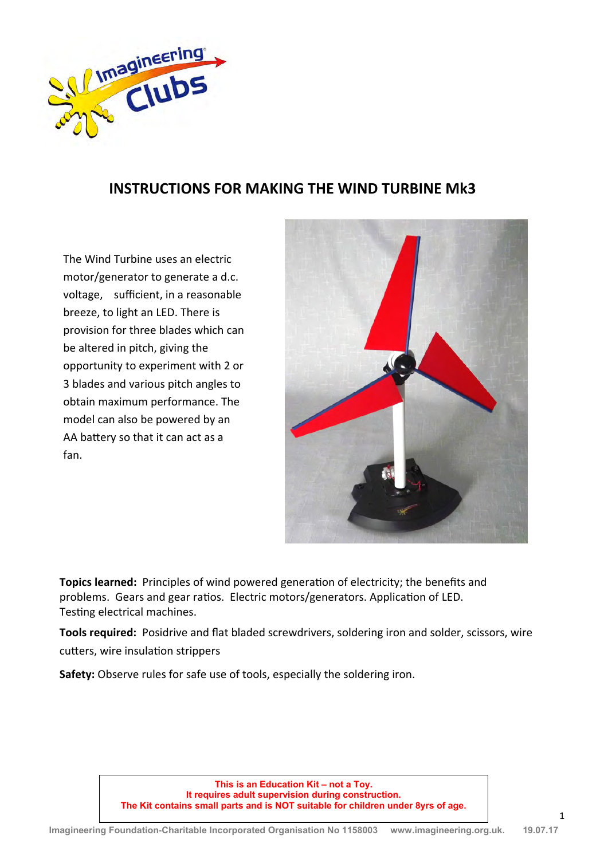

## **INSTRUCTIONS FOR MAKING THE WIND TURBINE Mk3**

The Wind Turbine uses an electric motor/generator to generate a d.c. voltage, sufficient, in a reasonable breeze, to light an LED. There is provision for three blades which can be altered in pitch, giving the opportunity to experiment with 2 or 3 blades and various pitch angles to obtain maximum performance. The model can also be powered by an AA battery so that it can act as a fan.



**Topics learned:** Principles of wind powered generation of electricity; the benefits and problems. Gears and gear ratios. Electric motors/generators. Application of LED. Testing electrical machines.

**Tools required:** Posidrive and flat bladed screwdrivers, soldering iron and solder, scissors, wire cutters, wire insulation strippers

**Safety:** Observe rules for safe use of tools, especially the soldering iron.

**This is an Education Kit – not a Toy. It requires adult supervision during construction. The Kit contains small parts and is NOT suitable for children under 8yrs of age.**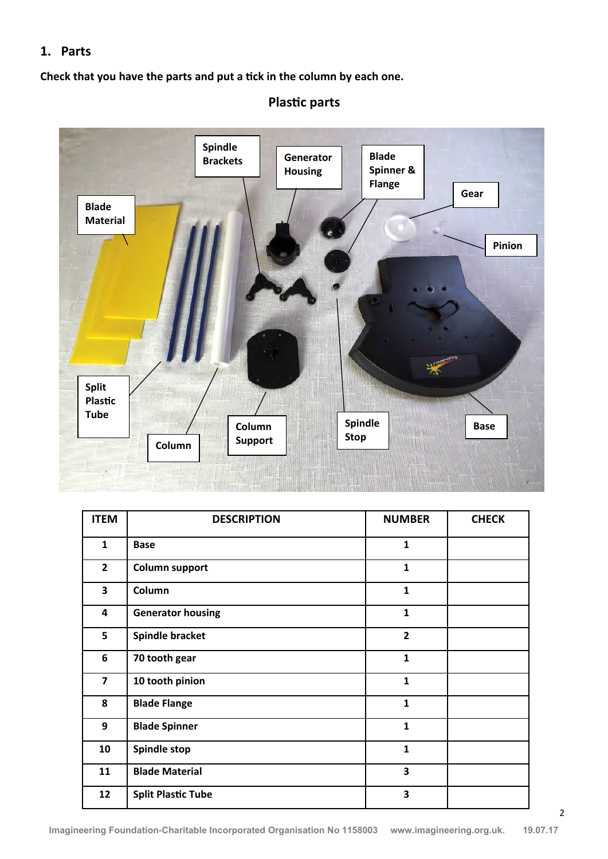### **1. Parts**

**Check that you have the parts and put a tick in the column by each one.**



# **Plastic parts**

| <b>ITEM</b>             | <b>DESCRIPTION</b>        | <b>NUMBER</b>           | <b>CHECK</b> |
|-------------------------|---------------------------|-------------------------|--------------|
| $\mathbf{1}$            | <b>Base</b>               | $\mathbf{1}$            |              |
| $\overline{2}$          | <b>Column support</b>     | $\mathbf{1}$            |              |
| 3                       | Column                    | $\mathbf{1}$            |              |
| 4                       | <b>Generator housing</b>  | $\mathbf{1}$            |              |
| 5                       | <b>Spindle bracket</b>    | $\overline{\mathbf{2}}$ |              |
| 6                       | 70 tooth gear             | $\mathbf{1}$            |              |
| $\overline{\mathbf{z}}$ | 10 tooth pinion           | $\mathbf{1}$            |              |
| 8                       | <b>Blade Flange</b>       | $\mathbf{1}$            |              |
| 9                       | <b>Blade Spinner</b>      | $\mathbf{1}$            |              |
| 10                      | <b>Spindle stop</b>       | $\mathbf{1}$            |              |
| 11                      | <b>Blade Material</b>     | 3                       |              |
| 12                      | <b>Split Plastic Tube</b> | 3                       |              |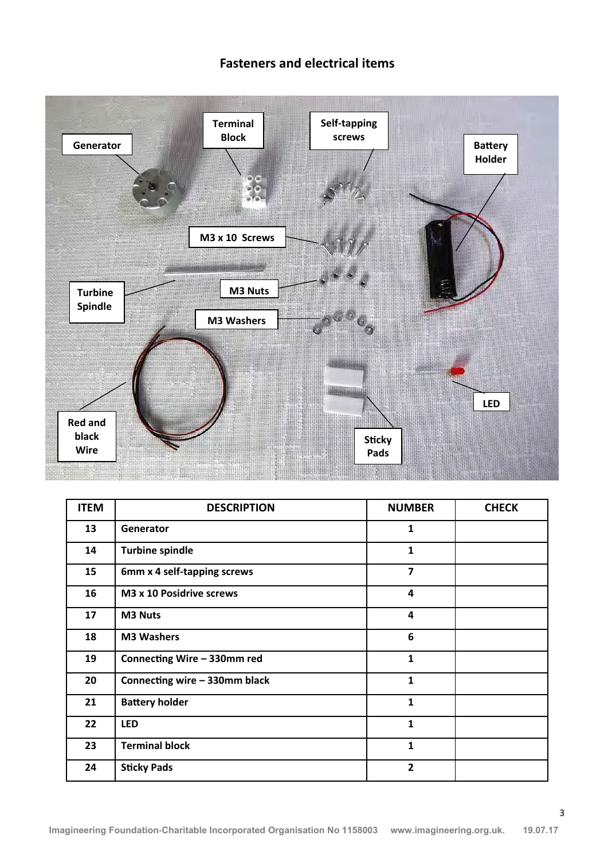### **Fasteners and electrical items**



| <b>ITEM</b> | <b>DESCRIPTION</b>            | <b>NUMBER</b>           | <b>CHECK</b> |
|-------------|-------------------------------|-------------------------|--------------|
| 13          | Generator                     | 1                       |              |
| 14          | <b>Turbine spindle</b>        | 1                       |              |
| 15          | 6mm x 4 self-tapping screws   | $\overline{\mathbf{z}}$ |              |
| 16          | M3 x 10 Posidrive screws      | 4                       |              |
| 17          | <b>M3 Nuts</b>                | $\overline{\mathbf{4}}$ |              |
| 18          | <b>M3 Washers</b>             | 6                       |              |
| 19          | Connecting Wire - 330mm red   | $\mathbf{1}$            |              |
| 20          | Connecting wire - 330mm black | 1                       |              |
| 21          | <b>Battery holder</b>         | 1                       |              |
| 22          | <b>LED</b>                    | 1                       |              |
| 23          | <b>Terminal block</b>         | 1                       |              |
| 24          | <b>Sticky Pads</b>            | $\overline{2}$          |              |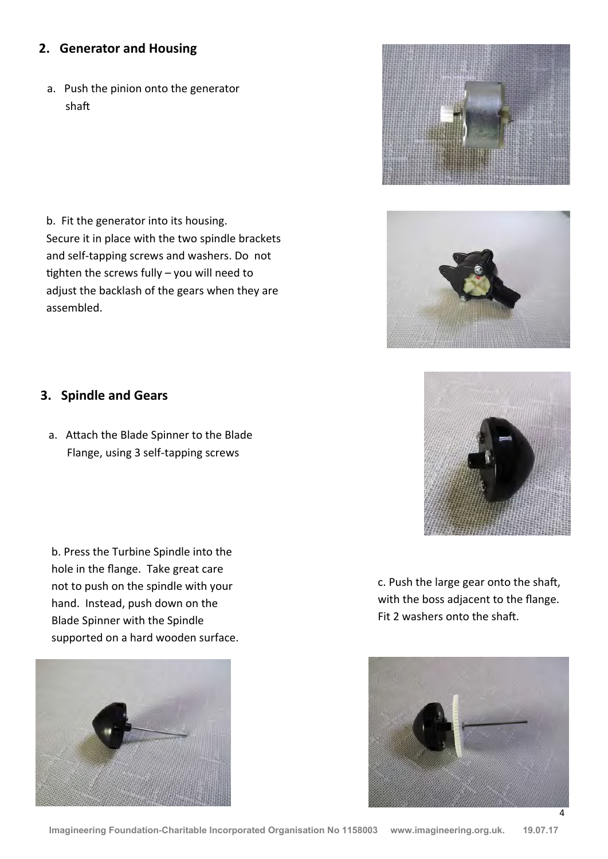#### **2. Generator and Housing**

a. Push the pinion onto the generator shaft

b. Fit the generator into its housing. Secure it in place with the two spindle brackets and self-tapping screws and washers. Do not tighten the screws fully – you will need to adjust the backlash of the gears when they are assembled.

### **3. Spindle and Gears**

a. Attach the Blade Spinner to the Blade Flange, using 3 self-tapping screws

b. Press the Turbine Spindle into the hole in the flange. Take great care not to push on the spindle with your hand. Instead, push down on the Blade Spinner with the Spindle supported on a hard wooden surface.



c. Push the large gear onto the shaft, with the boss adjacent to the flange. Fit 2 washers onto the shaft.







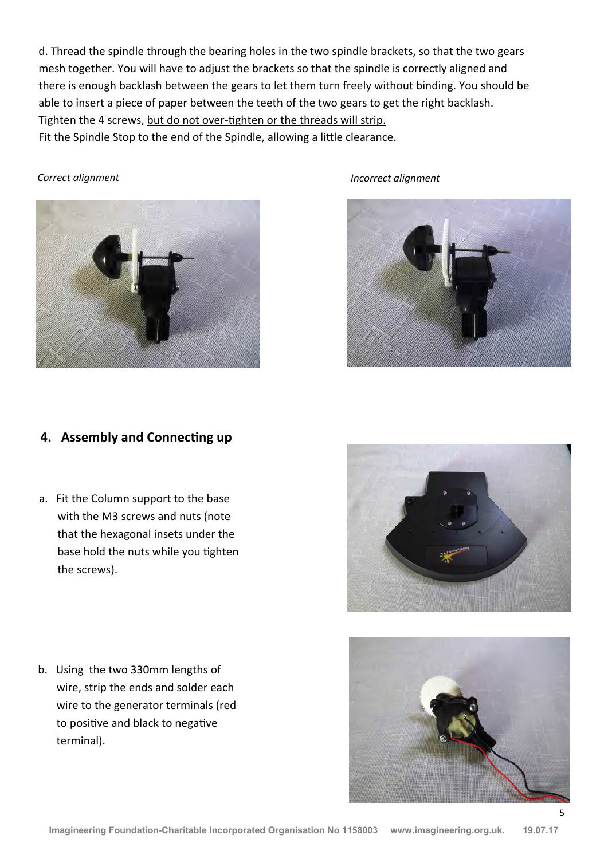d. Thread the spindle through the bearing holes in the two spindle brackets, so that the two gears mesh together. You will have to adjust the brackets so that the spindle is correctly aligned and there is enough backlash between the gears to let them turn freely without binding. You should be able to insert a piece of paper between the teeth of the two gears to get the right backlash. Tighten the 4 screws, but do not over-tighten or the threads will strip. Fit the Spindle Stop to the end of the Spindle, allowing a little clearance.



*Correct alignment Incorrect alignment*



## **4. Assembly and Connecting up**

a. Fit the Column support to the base with the M3 screws and nuts (note that the hexagonal insets under the base hold the nuts while you tighten the screws).

b. Using the two 330mm lengths of wire, strip the ends and solder each wire to the generator terminals (red to positive and black to negative terminal).



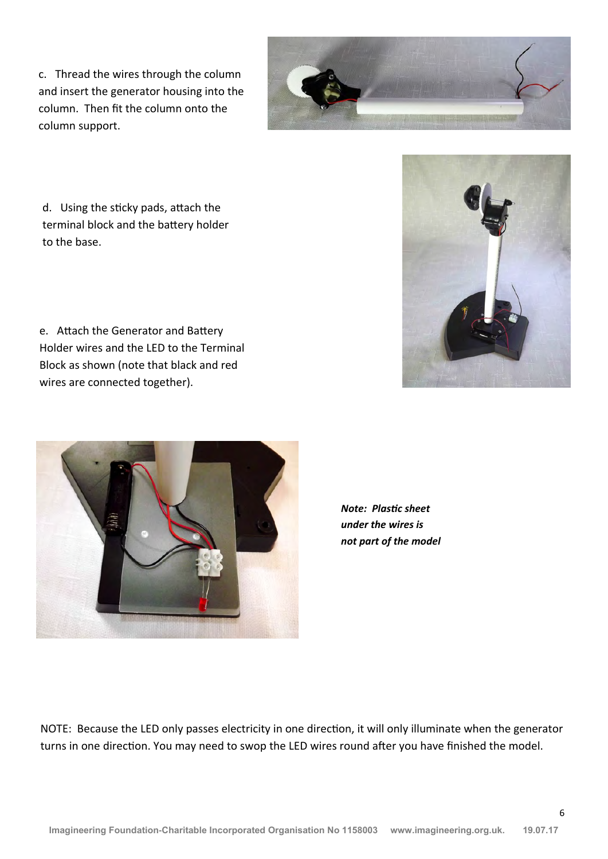c. Thread the wires through the column and insert the generator housing into the column. Then fit the column onto the column support.



d. Using the sticky pads, attach the terminal block and the battery holder to the base.

e. Attach the Generator and Battery Holder wires and the LED to the Terminal Block as shown (note that black and red wires are connected together).



*Note: Plastic sheet under the wires is not part of the model*

NOTE: Because the LED only passes electricity in one direction, it will only illuminate when the generator turns in one direction. You may need to swop the LED wires round after you have finished the model.

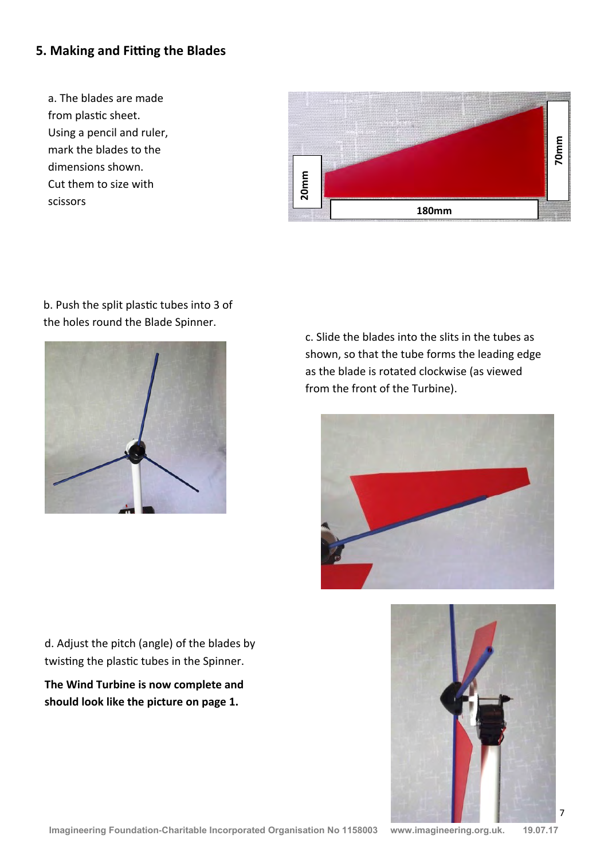### **5. Making and Fitting the Blades**

a. The blades are made from plastic sheet. Using a pencil and ruler, mark the blades to the dimensions shown. Cut them to size with scissors



#### b. Push the split plastic tubes into 3 of the holes round the Blade Spinner.



c. Slide the blades into the slits in the tubes as shown, so that the tube forms the leading edge as the blade is rotated clockwise (as viewed from the front of the Turbine).





d. Adjust the pitch (angle) of the blades by twisting the plastic tubes in the Spinner.

**The Wind Turbine is now complete and should look like the picture on page 1.**